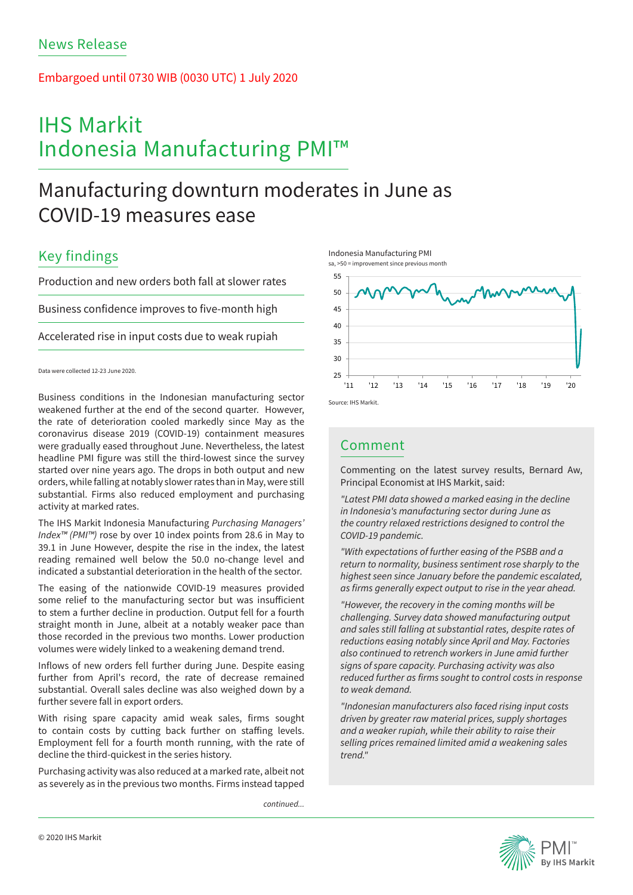### Embargoed until 0730 WIB (0030 UTC) 1 July 2020

# IHS Markit Indonesia Manufacturing PMI™

## Manufacturing downturn moderates in June as COVID-19 measures ease

## Key findings

Production and new orders both fall at slower rates

Business confidence improves to five-month high

Accelerated rise in input costs due to weak rupiah

### Data were collected 12-23 June 2020.

Business conditions in the Indonesian manufacturing sector weakened further at the end of the second quarter. However, the rate of deterioration cooled markedly since May as the coronavirus disease 2019 (COVID-19) containment measures were gradually eased throughout June. Nevertheless, the latest headline PMI figure was still the third-lowest since the survey started over nine years ago. The drops in both output and new orders, while falling at notably slower rates than in May, were still substantial. Firms also reduced employment and purchasing activity at marked rates.

The IHS Markit Indonesia Manufacturing *Purchasing Managers' Index™ (PMI™)* rose by over 10 index points from 28.6 in May to 39.1 in June However, despite the rise in the index, the latest reading remained well below the 50.0 no-change level and indicated a substantial deterioration in the health of the sector.

The easing of the nationwide COVID-19 measures provided some relief to the manufacturing sector but was insufficient to stem a further decline in production. Output fell for a fourth straight month in June, albeit at a notably weaker pace than those recorded in the previous two months. Lower production volumes were widely linked to a weakening demand trend.

Inflows of new orders fell further during June. Despite easing further from April's record, the rate of decrease remained substantial. Overall sales decline was also weighed down by a further severe fall in export orders.

With rising spare capacity amid weak sales, firms sought to contain costs by cutting back further on staffing levels. Employment fell for a fourth month running, with the rate of decline the third-quickest in the series history.

Purchasing activity was also reduced at a marked rate, albeit not as severely as in the previous two months. Firms instead tapped

*continued...*





### Comment

Commenting on the latest survey results, Bernard Aw, Principal Economist at IHS Markit, said:

*"Latest PMI data showed a marked easing in the decline in Indonesia's manufacturing sector during June as the country relaxed restrictions designed to control the COVID-19 pandemic.*

*"With expectations of further easing of the PSBB and a return to normality, business sentiment rose sharply to the highest seen since January before the pandemic escalated, as firms generally expect output to rise in the year ahead.*

*"However, the recovery in the coming months will be challenging. Survey data showed manufacturing output and sales still falling at substantial rates, despite rates of reductions easing notably since April and May. Factories also continued to retrench workers in June amid further signs of spare capacity. Purchasing activity was also reduced further as firms sought to control costs in response to weak demand.*

*"Indonesian manufacturers also faced rising input costs driven by greater raw material prices, supply shortages and a weaker rupiah, while their ability to raise their selling prices remained limited amid a weakening sales trend."*